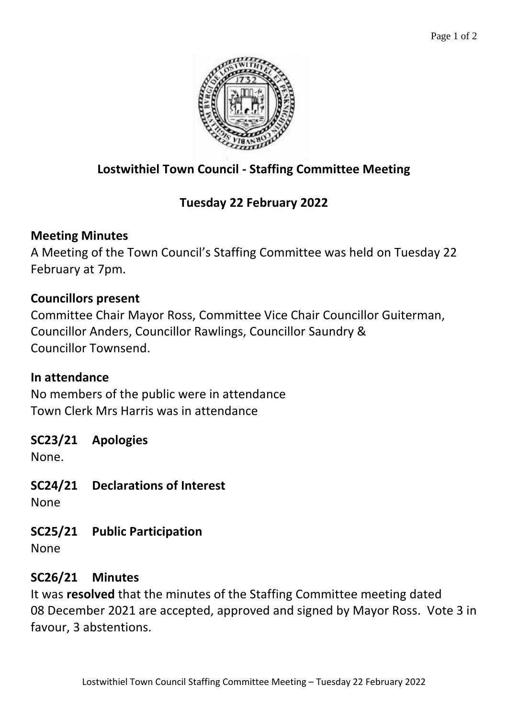

# **Lostwithiel Town Council - Staffing Committee Meeting**

# **Tuesday 22 February 2022**

### **Meeting Minutes**

A Meeting of the Town Council's Staffing Committee was held on Tuesday 22 February at 7pm.

### **Councillors present**

Committee Chair Mayor Ross, Committee Vice Chair Councillor Guiterman, Councillor Anders, Councillor Rawlings, Councillor Saundry & Councillor Townsend.

### **In attendance**

No members of the public were in attendance Town Clerk Mrs Harris was in attendance

## **SC23/21 Apologies**

None.

**SC24/21 Declarations of Interest**

None

**SC25/21 Public Participation**

None

## **SC26/21 Minutes**

It was **resolved** that the minutes of the Staffing Committee meeting dated 08 December 2021 are accepted, approved and signed by Mayor Ross. Vote 3 in favour, 3 abstentions.